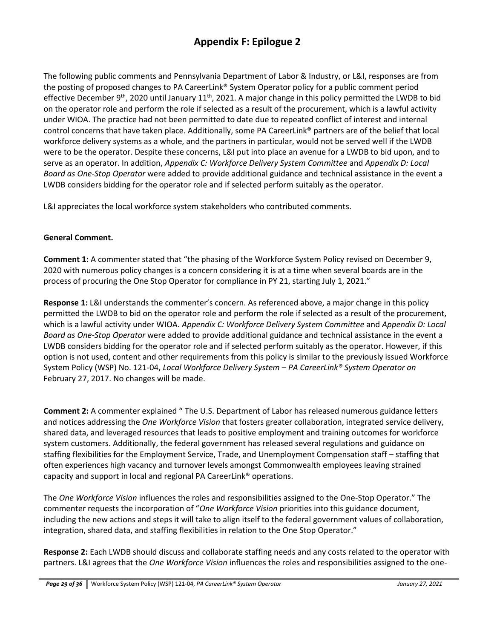The following public comments and Pennsylvania Department of Labor & Industry, or L&I, responses are from the posting of proposed changes to PA CareerLink® System Operator policy for a public comment period effective December 9<sup>th</sup>, 2020 until January 11<sup>th</sup>, 2021. A major change in this policy permitted the LWDB to bid on the operator role and perform the role if selected as a result of the procurement, which is a lawful activity under WIOA. The practice had not been permitted to date due to repeated conflict of interest and internal control concerns that have taken place. Additionally, some PA CareerLink® partners are of the belief that local workforce delivery systems as a whole, and the partners in particular, would not be served well if the LWDB were to be the operator. Despite these concerns, L&I put into place an avenue for a LWDB to bid upon, and to serve as an operator. In addition, *Appendix C: Workforce Delivery System Committee* and *Appendix D: Local Board as One-Stop Operator* were added to provide additional guidance and technical assistance in the event a LWDB considers bidding for the operator role and if selected perform suitably as the operator.

L&I appreciates the local workforce system stakeholders who contributed comments.

#### **General Comment.**

**Comment 1:** A commenter stated that "the phasing of the Workforce System Policy revised on December 9, 2020 with numerous policy changes is a concern considering it is at a time when several boards are in the process of procuring the One Stop Operator for compliance in PY 21, starting July 1, 2021."

**Response 1:** L&I understands the commenter's concern. As referenced above, a major change in this policy permitted the LWDB to bid on the operator role and perform the role if selected as a result of the procurement, which is a lawful activity under WIOA. *Appendix C: Workforce Delivery System Committee* and *Appendix D: Local Board as One-Stop Operator* were added to provide additional guidance and technical assistance in the event a LWDB considers bidding for the operator role and if selected perform suitably as the operator. However, if this option is not used, content and other requirements from this policy is similar to the previously issued Workforce System Policy (WSP) No. 121-04, *Local Workforce Delivery System – PA CareerLink® System Operator on*  February 27, 2017. No changes will be made.

**Comment 2:** A commenter explained " The U.S. Department of Labor has released numerous guidance letters and notices addressing the *One Workforce Vision* that fosters greater collaboration, integrated service delivery, shared data, and leveraged resources that leads to positive employment and training outcomes for workforce system customers. Additionally, the federal government has released several regulations and guidance on staffing flexibilities for the Employment Service, Trade, and Unemployment Compensation staff – staffing that often experiences high vacancy and turnover levels amongst Commonwealth employees leaving strained capacity and support in local and regional PA CareerLink® operations.

The *One Workforce Vision* influences the roles and responsibilities assigned to the One-Stop Operator." The commenter requests the incorporation of "*One Workforce Vision* priorities into this guidance document, including the new actions and steps it will take to align itself to the federal government values of collaboration, integration, shared data, and staffing flexibilities in relation to the One Stop Operator."

**Response 2:** Each LWDB should discuss and collaborate staffing needs and any costs related to the operator with partners. L&I agrees that the *One Workforce Vision* influences the roles and responsibilities assigned to the one-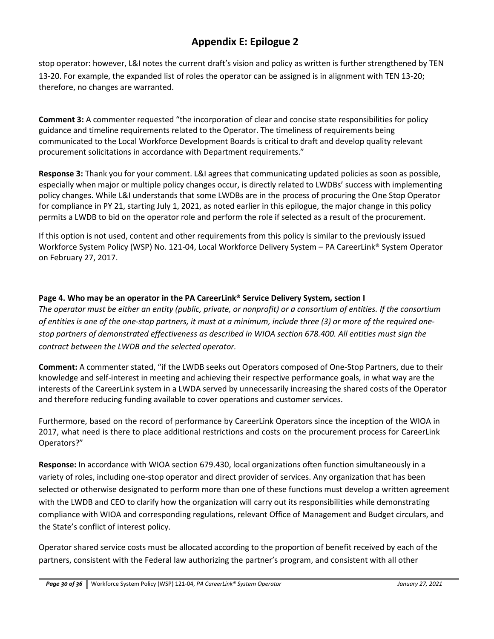stop operator: however, L&I notes the current draft's vision and policy as written is further strengthened by TEN 13-20. For example, the expanded list of roles the operator can be assigned is in alignment with TEN 13-20; therefore, no changes are warranted.

**Comment 3:** A commenter requested "the incorporation of clear and concise state responsibilities for policy guidance and timeline requirements related to the Operator. The timeliness of requirements being communicated to the Local Workforce Development Boards is critical to draft and develop quality relevant procurement solicitations in accordance with Department requirements."

**Response 3:** Thank you for your comment. L&I agrees that communicating updated policies as soon as possible, especially when major or multiple policy changes occur, is directly related to LWDBs' success with implementing policy changes. While L&I understands that some LWDBs are in the process of procuring the One Stop Operator for compliance in PY 21, starting July 1, 2021, as noted earlier in this epilogue, the major change in this policy permits a LWDB to bid on the operator role and perform the role if selected as a result of the procurement.

If this option is not used, content and other requirements from this policy is similar to the previously issued Workforce System Policy (WSP) No. 121-04, Local Workforce Delivery System – PA CareerLink® System Operator on February 27, 2017.

### **Page 4. Who may be an operator in the PA CareerLink® Service Delivery System, section I**

*The operator must be either an entity (public, private, or nonprofit) or a consortium of entities. If the consortium of entities is one of the one-stop partners, it must at a minimum, include three (3) or more of the required one‐ stop partners of demonstrated effectiveness as described in WIOA section 678.400. All entities must sign the contract between the LWDB and the selected operator.*

**Comment:** A commenter stated, "if the LWDB seeks out Operators composed of One-Stop Partners, due to their knowledge and self-interest in meeting and achieving their respective performance goals, in what way are the interests of the CareerLink system in a LWDA served by unnecessarily increasing the shared costs of the Operator and therefore reducing funding available to cover operations and customer services.

Furthermore, based on the record of performance by CareerLink Operators since the inception of the WIOA in 2017, what need is there to place additional restrictions and costs on the procurement process for CareerLink Operators?"

**Response:** In accordance with WIOA section 679.430, local organizations often function simultaneously in a variety of roles, including one-stop operator and direct provider of services. Any organization that has been selected or otherwise designated to perform more than one of these functions must develop a written agreement with the LWDB and CEO to clarify how the organization will carry out its responsibilities while demonstrating compliance with WIOA and corresponding regulations, relevant Office of Management and Budget circulars, and the State's conflict of interest policy.

Operator shared service costs must be allocated according to the proportion of benefit received by each of the partners, consistent with the Federal law authorizing the partner's program, and consistent with all other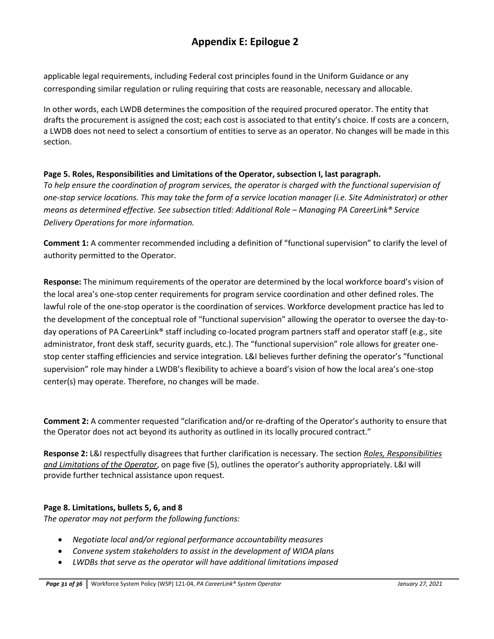applicable legal requirements, including Federal cost principles found in the Uniform Guidance or any corresponding similar regulation or ruling requiring that costs are reasonable, necessary and allocable.

In other words, each LWDB determines the composition of the required procured operator. The entity that drafts the procurement is assigned the cost; each cost is associated to that entity's choice. If costs are a concern, a LWDB does not need to select a consortium of entities to serve as an operator. No changes will be made in this section.

#### **Page 5. Roles, Responsibilities and Limitations of the Operator, subsection I, last paragraph.**

*To help ensure the coordination of program services, the operator is charged with the functional supervision of one-stop service locations. This may take the form of a service location manager (i.e. Site Administrator) or other means as determined effective. See subsection titled: Additional Role – Managing PA CareerLink® Service Delivery Operations for more information.*

**Comment 1:** A commenter recommended including a definition of "functional supervision" to clarify the level of authority permitted to the Operator.

**Response:** The minimum requirements of the operator are determined by the local workforce board's vision of the local area's one-stop center requirements for program service coordination and other defined roles. The lawful role of the one-stop operator is the coordination of services. Workforce development practice has led to the development of the conceptual role of "functional supervision" allowing the operator to oversee the day-today operations of PA CareerLink® staff including co-located program partners staff and operator staff (e.g., site administrator, front desk staff, security guards, etc.). The "functional supervision" role allows for greater onestop center staffing efficiencies and service integration. L&I believes further defining the operator's "functional supervision" role may hinder a LWDB's flexibility to achieve a board's vision of how the local area's one-stop center(s) may operate. Therefore, no changes will be made.

**Comment 2:** A commenter requested "clarification and/or re-drafting of the Operator's authority to ensure that the Operator does not act beyond its authority as outlined in its locally procured contract."

**Response 2:** L&I respectfully disagrees that further clarification is necessary. The section *Roles, Responsibilities and Limitations of the Operator*, on page five (5), outlines the operator's authority appropriately. L&I will provide further technical assistance upon request.

#### **Page 8. Limitations, bullets 5, 6, and 8**

*The operator may not perform the following functions:*

- *Negotiate local and/or regional performance accountability measures*
- *Convene system stakeholders to assist in the development of WIOA plans*
- *LWDBs that serve as the operator will have additional limitations imposed*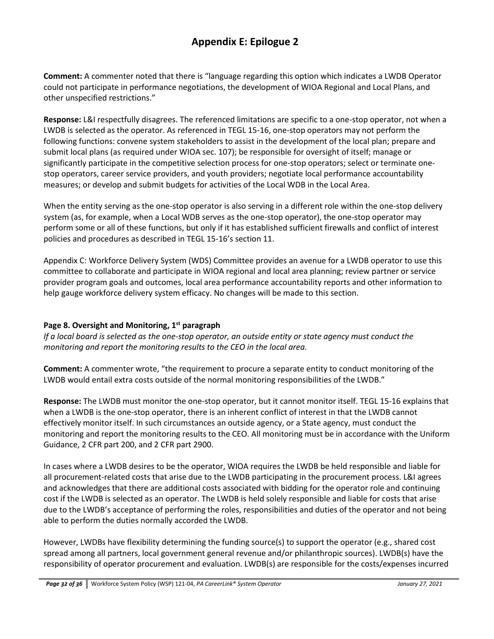**Comment:** A commenter noted that there is "language regarding this option which indicates a LWDB Operator could not participate in performance negotiations, the development of WIOA Regional and Local Plans, and other unspecified restrictions."

**Response:** L&I respectfully disagrees. The referenced limitations are specific to a one-stop operator, not when a LWDB is selected as the operator. As referenced in TEGL 15-16, one-stop operators may not perform the following functions: convene system stakeholders to assist in the development of the local plan; prepare and submit local plans (as required under WIOA sec. 107); be responsible for oversight of itself; manage or significantly participate in the competitive selection process for one-stop operators; select or terminate onestop operators, career service providers, and youth providers; negotiate local performance accountability measures; or develop and submit budgets for activities of the Local WDB in the Local Area.

When the entity serving as the one-stop operator is also serving in a different role within the one-stop delivery system (as, for example, when a Local WDB serves as the one-stop operator), the one-stop operator may perform some or all of these functions, but only if it has established sufficient firewalls and conflict of interest policies and procedures as described in TEGL 15-16's section 11.

Appendix C: Workforce Delivery System (WDS) Committee provides an avenue for a LWDB operator to use this committee to collaborate and participate in WIOA regional and local area planning; review partner or service provider program goals and outcomes, local area performance accountability reports and other information to help gauge workforce delivery system efficacy. No changes will be made to this section.

### **Page 8. Oversight and Monitoring, 1st paragraph**

*If a local board is selected as the one-stop operator, an outside entity or state agency must conduct the monitoring and report the monitoring results to the CEO in the local area.*

**Comment:** A commenter wrote, "the requirement to procure a separate entity to conduct monitoring of the LWDB would entail extra costs outside of the normal monitoring responsibilities of the LWDB."

**Response:** The LWDB must monitor the one-stop operator, but it cannot monitor itself. TEGL 15-16 explains that when a LWDB is the one-stop operator, there is an inherent conflict of interest in that the LWDB cannot effectively monitor itself. In such circumstances an outside agency, or a State agency, must conduct the monitoring and report the monitoring results to the CEO. All monitoring must be in accordance with the Uniform Guidance, 2 CFR part 200, and 2 CFR part 2900.

In cases where a LWDB desires to be the operator, WIOA requires the LWDB be held responsible and liable for all procurement-related costs that arise due to the LWDB participating in the procurement process. L&I agrees and acknowledges that there are additional costs associated with bidding for the operator role and continuing cost if the LWDB is selected as an operator. The LWDB is held solely responsible and liable for costs that arise due to the LWDB's acceptance of performing the roles, responsibilities and duties of the operator and not being able to perform the duties normally accorded the LWDB.

However, LWDBs have flexibility determining the funding source(s) to support the operator (e.g., shared cost spread among all partners, local government general revenue and/or philanthropic sources). LWDB(s) have the responsibility of operator procurement and evaluation. LWDB(s) are responsible for the costs/expenses incurred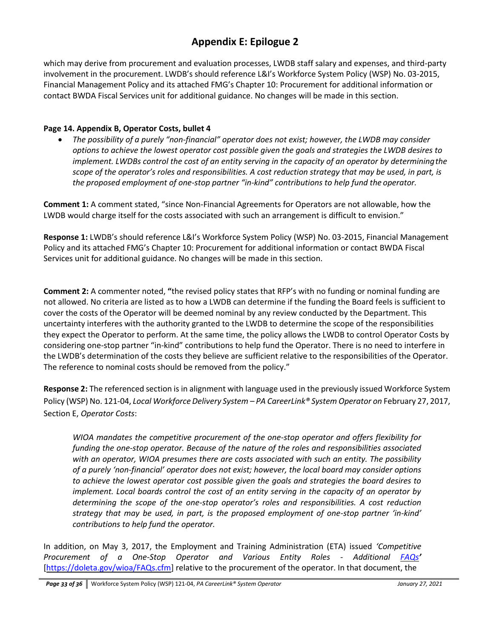which may derive from procurement and evaluation processes, LWDB staff salary and expenses, and third-party involvement in the procurement. LWDB's should reference L&I's Workforce System Policy (WSP) No. 03-2015, Financial Management Policy and its attached FMG's Chapter 10: Procurement for additional information or contact BWDA Fiscal Services unit for additional guidance. No changes will be made in this section.

#### **Page 14. Appendix B, Operator Costs, bullet 4**

• *The possibility of a purely "non-financial" operator does not exist; however, the LWDB may consider options to achieve the lowest operator cost possible given the goals and strategies the LWDB desires to implement. LWDBs control the cost of an entity serving in the capacity of an operator by determiningthe scope of the operator's roles and responsibilities. A cost reduction strategy that may be used, in part, is the proposed employment of one-stop partner "in-kind" contributions to help fund the operator.*

**Comment 1:** A comment stated, "since Non-Financial Agreements for Operators are not allowable, how the LWDB would charge itself for the costs associated with such an arrangement is difficult to envision."

**Response 1:** LWDB's should reference L&I's Workforce System Policy (WSP) No. 03-2015, Financial Management Policy and its attached FMG's Chapter 10: Procurement for additional information or contact BWDA Fiscal Services unit for additional guidance. No changes will be made in this section.

**Comment 2:** A commenter noted, **"**the revised policy states that RFP's with no funding or nominal funding are not allowed. No criteria are listed as to how a LWDB can determine if the funding the Board feels is sufficient to cover the costs of the Operator will be deemed nominal by any review conducted by the Department. This uncertainty interferes with the authority granted to the LWDB to determine the scope of the responsibilities they expect the Operator to perform. At the same time, the policy allows the LWDB to control Operator Costs by considering one-stop partner "in-kind" contributions to help fund the Operator. There is no need to interfere in the LWDB's determination of the costs they believe are sufficient relative to the responsibilities of the Operator. The reference to nominal costs should be removed from the policy."

**Response 2:** The referenced section is in alignment with language used in the previously issued Workforce System Policy (WSP) No. 121-04, *Local Workforce Delivery System – PA CareerLink® System Operator on* February 27, 2017, Section E, *Operator Costs*:

*WIOA mandates the competitive procurement of the one-stop operator and offers flexibility for funding the one-stop operator. Because of the nature of the roles and responsibilities associated with an operator, WIOA presumes there are costs associated with such an entity. The possibility of a purely 'non-financial' operator does not exist; however, the local board may consider options to achieve the lowest operator cost possible given the goals and strategies the board desires to implement. Local boards control the cost of an entity serving in the capacity of an operator by determining the scope of the one-stop operator's roles and responsibilities. A cost reduction strategy that may be used, in part, is the proposed employment of one-stop partner 'in-kind' contributions to help fund the operator.*

In addition, on May 3, 2017, the Employment and Training Administration (ETA) issued *'Competitive Procurement of a One-Stop Operator and Various Entity Roles - Additional [FAQs](https://doleta.gov/wioa/FAQs.cfm)'* [\[https://doleta.gov/wioa/FAQs.cfm\]](https://doleta.gov/wioa/FAQs.cfm) relative to the procurement of the operator. In that document, the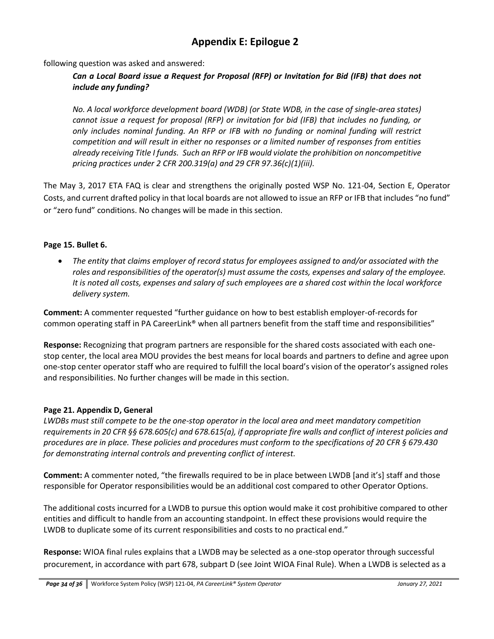following question was asked and answered:

### *Can a Local Board issue a Request for Proposal (RFP) or Invitation for Bid (IFB) that does not include any funding?*

*No. A local workforce development board (WDB) (or State WDB, in the case of single-area states) cannot issue a request for proposal (RFP) or invitation for bid (IFB) that includes no funding, or only includes nominal funding. An RFP or IFB with no funding or nominal funding will restrict competition and will result in either no responses or a limited number of responses from entities already receiving Title I funds. Such an RFP or IFB would violate the prohibition on noncompetitive pricing practices under 2 CFR 200.319(a) and 29 CFR 97.36(c)(1)(iii).*

The May 3, 2017 ETA FAQ is clear and strengthens the originally posted WSP No. 121-04, Section E, Operator Costs, and current drafted policy in that local boards are not allowed to issue an RFP or IFB that includes "no fund" or "zero fund" conditions. No changes will be made in this section.

#### **Page 15. Bullet 6.**

• *The entity that claims employer of record status for employees assigned to and/or associated with the roles and responsibilities of the operator(s) must assume the costs, expenses and salary of the employee. It is noted all costs, expenses and salary of such employees are a shared cost within the local workforce delivery system.*

**Comment:** A commenter requested "further guidance on how to best establish employer-of-records for common operating staff in PA CareerLink® when all partners benefit from the staff time and responsibilities"

**Response:** Recognizing that program partners are responsible for the shared costs associated with each onestop center, the local area MOU provides the best means for local boards and partners to define and agree upon one-stop center operator staff who are required to fulfill the local board's vision of the operator's assigned roles and responsibilities. No further changes will be made in this section.

#### **Page 21. Appendix D, General**

*LWDBs must still compete to be the one-stop operator in the local area and meet mandatory competition*  requirements in 20 CFR §§ 678.605(c) and 678.615(a), if appropriate fire walls and conflict of interest policies and *procedures are in place. These policies and procedures must conform to the specifications of 20 CFR § 679.430 for demonstrating internal controls and preventing conflict of interest.*

**Comment:** A commenter noted, "the firewalls required to be in place between LWDB [and it's] staff and those responsible for Operator responsibilities would be an additional cost compared to other Operator Options.

The additional costs incurred for a LWDB to pursue this option would make it cost prohibitive compared to other entities and difficult to handle from an accounting standpoint. In effect these provisions would require the LWDB to duplicate some of its current responsibilities and costs to no practical end."

**Response:** WIOA final rules explains that a LWDB may be selected as a one-stop operator through successful procurement, in accordance with part 678, subpart D (see Joint WIOA Final Rule). When a LWDB is selected as a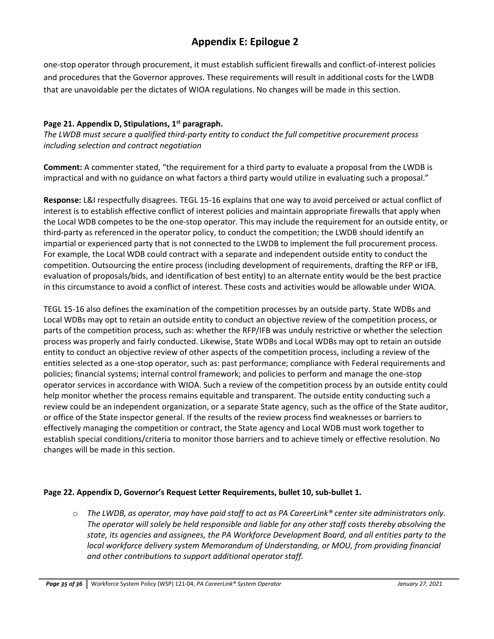one-stop operator through procurement, it must establish sufficient firewalls and conflict-of-interest policies and procedures that the Governor approves. These requirements will result in additional costs for the LWDB that are unavoidable per the dictates of WIOA regulations. No changes will be made in this section.

#### **Page 21. Appendix D, Stipulations, 1st paragraph.**

*The LWDB must secure a qualified third-party entity to conduct the full competitive procurement process including selection and contract negotiation*

**Comment:** A commenter stated, "the requirement for a third party to evaluate a proposal from the LWDB is impractical and with no guidance on what factors a third party would utilize in evaluating such a proposal."

**Response:** L&I respectfully disagrees. TEGL 15-16 explains that one way to avoid perceived or actual conflict of interest is to establish effective conflict of interest policies and maintain appropriate firewalls that apply when the Local WDB competes to be the one-stop operator. This may include the requirement for an outside entity, or third-party as referenced in the operator policy, to conduct the competition; the LWDB should identify an impartial or experienced party that is not connected to the LWDB to implement the full procurement process. For example, the Local WDB could contract with a separate and independent outside entity to conduct the competition. Outsourcing the entire process (including development of requirements, drafting the RFP or IFB, evaluation of proposals/bids, and identification of best entity) to an alternate entity would be the best practice in this circumstance to avoid a conflict of interest. These costs and activities would be allowable under WIOA.

TEGL 15-16 also defines the examination of the competition processes by an outside party. State WDBs and Local WDBs may opt to retain an outside entity to conduct an objective review of the competition process, or parts of the competition process, such as: whether the RFP/IFB was unduly restrictive or whether the selection process was properly and fairly conducted. Likewise, State WDBs and Local WDBs may opt to retain an outside entity to conduct an objective review of other aspects of the competition process, including a review of the entities selected as a one-stop operator, such as: past performance; compliance with Federal requirements and policies; financial systems; internal control framework; and policies to perform and manage the one-stop operator services in accordance with WIOA. Such a review of the competition process by an outside entity could help monitor whether the process remains equitable and transparent. The outside entity conducting such a review could be an independent organization, or a separate State agency, such as the office of the State auditor, or office of the State inspector general. If the results of the review process find weaknesses or barriers to effectively managing the competition or contract, the State agency and Local WDB must work together to establish special conditions/criteria to monitor those barriers and to achieve timely or effective resolution. No changes will be made in this section.

#### **Page 22. Appendix D, Governor's Request Letter Requirements, bullet 10, sub-bullet 1.**

o *The LWDB, as operator, may have paid staff to act as PA CareerLink® center site administrators only. The operator will solely be held responsible and liable for any other staff costs thereby absolving the state, its agencies and assignees, the PA Workforce Development Board, and all entities party to the local workforce delivery system Memorandum of Understanding, or MOU, from providing financial and other contributions to support additional operator staff.*